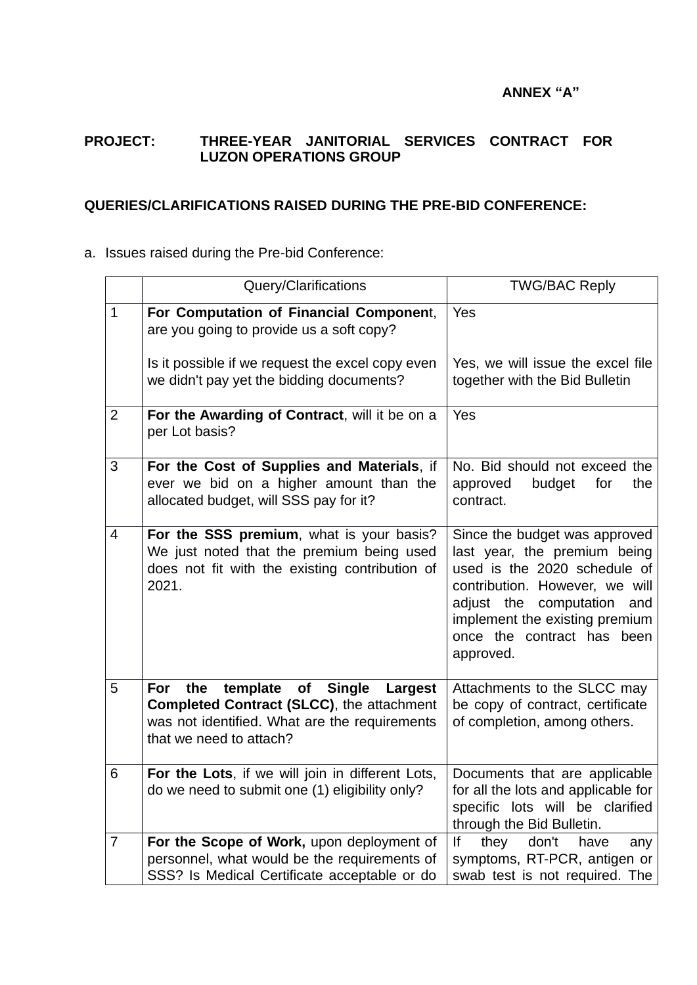## **ANNEX "A"**

### **PROJECT: THREE-YEAR JANITORIAL SERVICES CONTRACT FOR LUZON OPERATIONS GROUP**

#### **QUERIES/CLARIFICATIONS RAISED DURING THE PRE-BID CONFERENCE:**

## a. Issues raised during the Pre-bid Conference:

|                | Query/Clarifications                                                                                                                                                    | <b>TWG/BAC Reply</b>                                                                                                                                                                                                                                |
|----------------|-------------------------------------------------------------------------------------------------------------------------------------------------------------------------|-----------------------------------------------------------------------------------------------------------------------------------------------------------------------------------------------------------------------------------------------------|
| $\mathbf{1}$   | For Computation of Financial Component,<br>are you going to provide us a soft copy?                                                                                     | Yes                                                                                                                                                                                                                                                 |
|                | Is it possible if we request the excel copy even<br>we didn't pay yet the bidding documents?                                                                            | Yes, we will issue the excel file<br>together with the Bid Bulletin                                                                                                                                                                                 |
| $\overline{2}$ | For the Awarding of Contract, will it be on a<br>per Lot basis?                                                                                                         | Yes                                                                                                                                                                                                                                                 |
| 3              | For the Cost of Supplies and Materials, if<br>ever we bid on a higher amount than the<br>allocated budget, will SSS pay for it?                                         | No. Bid should not exceed the<br>approved<br>budget<br>for<br>the<br>contract.                                                                                                                                                                      |
| $\overline{4}$ | For the SSS premium, what is your basis?<br>We just noted that the premium being used<br>does not fit with the existing contribution of<br>2021.                        | Since the budget was approved<br>last year, the premium being<br>used is the 2020 schedule of<br>contribution. However, we will<br>the<br>computation<br>adjust<br>and<br>implement the existing premium<br>once the contract has been<br>approved. |
| 5              | template<br>the<br>For<br>of Single<br>Largest<br>Completed Contract (SLCC), the attachment<br>was not identified. What are the requirements<br>that we need to attach? | Attachments to the SLCC may<br>be copy of contract, certificate<br>of completion, among others.                                                                                                                                                     |
| $\,6$          | For the Lots, if we will join in different Lots,<br>do we need to submit one (1) eligibility only?                                                                      | Documents that are applicable<br>for all the lots and applicable for<br>specific lots will be clarified<br>through the Bid Bulletin.                                                                                                                |
| $\overline{7}$ | For the Scope of Work, upon deployment of<br>personnel, what would be the requirements of<br>SSS? Is Medical Certificate acceptable or do                               | don't<br>lf<br>they<br>have<br>any<br>symptoms, RT-PCR, antigen or<br>swab test is not required. The                                                                                                                                                |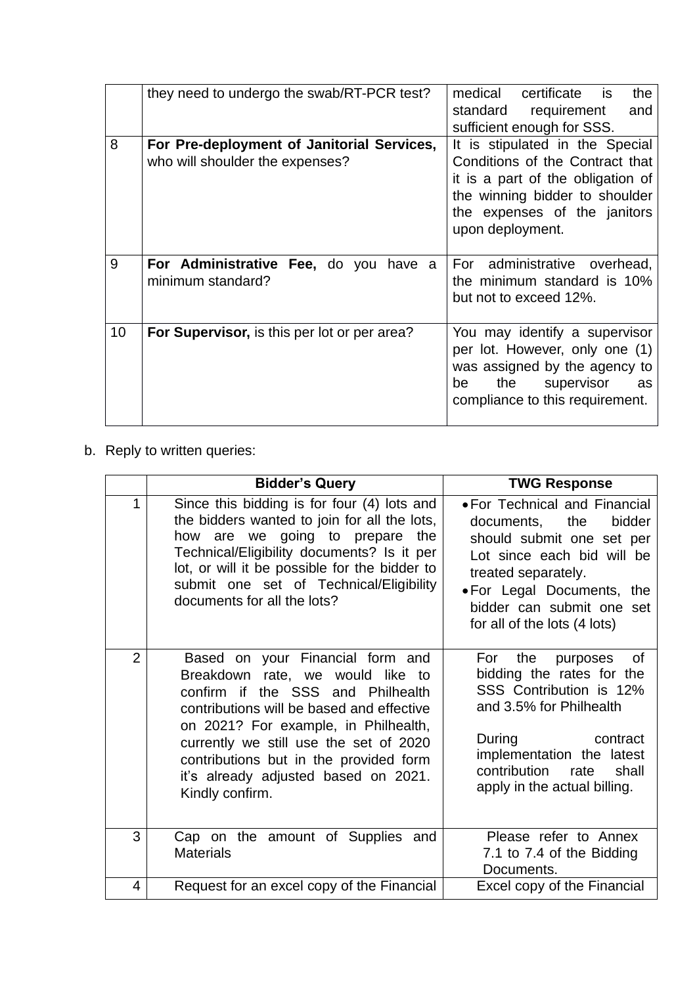|    | they need to undergo the swab/RT-PCR test?                                    | medical<br>certificate<br>is is<br>the<br>standard<br>requirement<br>and<br>sufficient enough for SSS.                                                                                        |
|----|-------------------------------------------------------------------------------|-----------------------------------------------------------------------------------------------------------------------------------------------------------------------------------------------|
| 8  | For Pre-deployment of Janitorial Services,<br>who will shoulder the expenses? | It is stipulated in the Special<br>Conditions of the Contract that<br>it is a part of the obligation of<br>the winning bidder to shoulder<br>the expenses of the janitors<br>upon deployment. |
| 9  | For Administrative Fee, do you have a<br>minimum standard?                    | administrative overhead,<br>For<br>the minimum standard is 10%<br>but not to exceed 12%.                                                                                                      |
| 10 | For Supervisor, is this per lot or per area?                                  | You may identify a supervisor<br>per lot. However, only one (1)<br>was assigned by the agency to<br>supervisor<br>the<br>be<br>as<br>compliance to this requirement.                          |

# b. Reply to written queries:

|                | <b>Bidder's Query</b>                                                                                                                                                                                                                                                                                                                         | <b>TWG Response</b>                                                                                                                                                                                                                        |
|----------------|-----------------------------------------------------------------------------------------------------------------------------------------------------------------------------------------------------------------------------------------------------------------------------------------------------------------------------------------------|--------------------------------------------------------------------------------------------------------------------------------------------------------------------------------------------------------------------------------------------|
| 1              | Since this bidding is for four (4) lots and<br>the bidders wanted to join for all the lots,<br>are we going to prepare<br>how<br>the<br>Technical/Eligibility documents? Is it per<br>lot, or will it be possible for the bidder to<br>submit one set of Technical/Eligibility<br>documents for all the lots?                                 | • For Technical and Financial<br>documents, the<br>bidder<br>should submit one set per<br>Lot since each bid will be<br>treated separately.<br>• For Legal Documents, the<br>bidder can submit one set<br>for all of the lots (4 lots)     |
| $\overline{2}$ | Based on your Financial form and<br>Breakdown rate, we would like to<br>confirm if the SSS and Philhealth<br>contributions will be based and effective<br>on 2021? For example, in Philhealth,<br>currently we still use the set of 2020<br>contributions but in the provided form<br>it's already adjusted based on 2021.<br>Kindly confirm. | <b>of</b><br>For<br>the<br>purposes<br>bidding the rates for the<br>SSS Contribution is 12%<br>and 3.5% for Philhealth<br>During<br>contract<br>implementation the latest<br>contribution<br>shall<br>rate<br>apply in the actual billing. |
| 3              | Cap on the amount of Supplies and<br><b>Materials</b>                                                                                                                                                                                                                                                                                         | Please refer to Annex<br>7.1 to 7.4 of the Bidding<br>Documents.                                                                                                                                                                           |
| 4              | Request for an excel copy of the Financial                                                                                                                                                                                                                                                                                                    | Excel copy of the Financial                                                                                                                                                                                                                |